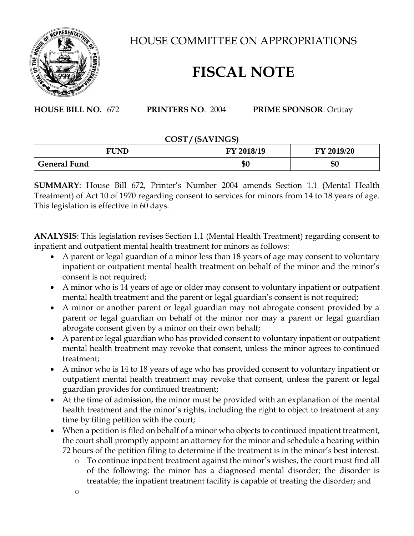

HOUSE COMMITTEE ON APPROPRIATIONS

## **FISCAL NOTE**

**HOUSE BILL NO.** 672 **PRINTERS NO**. 2004 **PRIME SPONSOR**: Ortitay

## **COST / (SAVINGS)**

| <b>FUND</b>         | 2018/19<br>FV. | FY 2019/20 |
|---------------------|----------------|------------|
| <b>General Fund</b> | \$0            | \$0        |

**SUMMARY**: House Bill 672, Printer's Number 2004 amends Section 1.1 (Mental Health Treatment) of Act 10 of 1970 regarding consent to services for minors from 14 to 18 years of age. This legislation is effective in 60 days.

**ANALYSIS**: This legislation revises Section 1.1 (Mental Health Treatment) regarding consent to inpatient and outpatient mental health treatment for minors as follows:

- A parent or legal guardian of a minor less than 18 years of age may consent to voluntary inpatient or outpatient mental health treatment on behalf of the minor and the minor's consent is not required;
- A minor who is 14 years of age or older may consent to voluntary inpatient or outpatient mental health treatment and the parent or legal guardian's consent is not required;
- A minor or another parent or legal guardian may not abrogate consent provided by a parent or legal guardian on behalf of the minor nor may a parent or legal guardian abrogate consent given by a minor on their own behalf;
- A parent or legal guardian who has provided consent to voluntary inpatient or outpatient mental health treatment may revoke that consent, unless the minor agrees to continued treatment;
- A minor who is 14 to 18 years of age who has provided consent to voluntary inpatient or outpatient mental health treatment may revoke that consent, unless the parent or legal guardian provides for continued treatment;
- At the time of admission, the minor must be provided with an explanation of the mental health treatment and the minor's rights, including the right to object to treatment at any time by filing petition with the court;
- When a petition is filed on behalf of a minor who objects to continued inpatient treatment, the court shall promptly appoint an attorney for the minor and schedule a hearing within 72 hours of the petition filing to determine if the treatment is in the minor's best interest.
	- o To continue inpatient treatment against the minor's wishes, the court must find all of the following: the minor has a diagnosed mental disorder; the disorder is treatable; the inpatient treatment facility is capable of treating the disorder; and